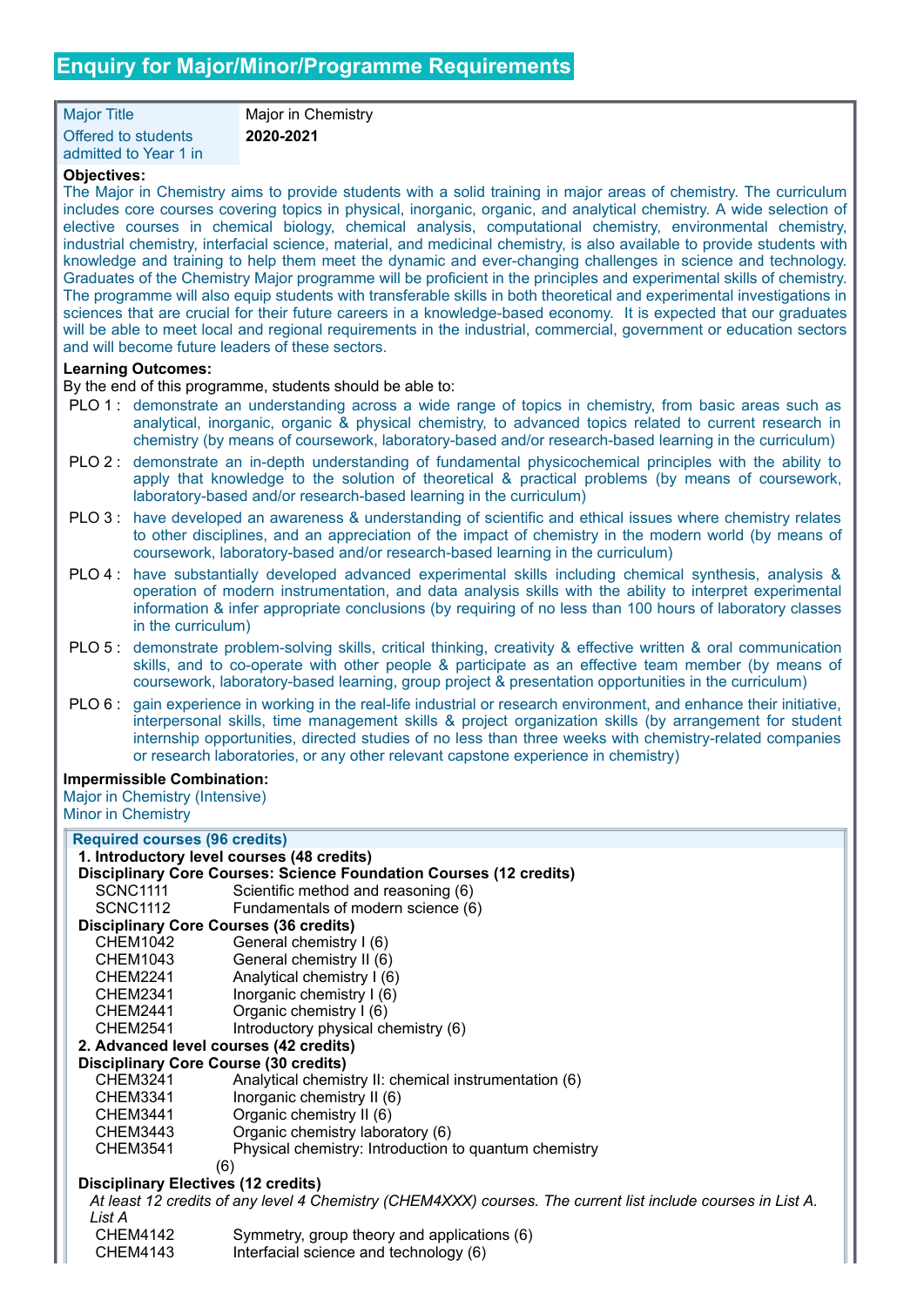Major Title Major in Chemistry Offered to students admitted to Year 1 in

**2020-2021**

# **Objectives:**

The Major in Chemistry aims to provide students with a solid training in major areas of chemistry. The curriculum includes core courses covering topics in physical, inorganic, organic, and analytical chemistry. A wide selection of elective courses in chemical biology, chemical analysis, computational chemistry, environmental chemistry, industrial chemistry, interfacial science, material, and medicinal chemistry, is also available to provide students with knowledge and training to help them meet the dynamic and ever-changing challenges in science and technology. Graduates of the Chemistry Major programme will be proficient in the principles and experimental skills of chemistry. The programme will also equip students with transferable skills in both theoretical and experimental investigations in sciences that are crucial for their future careers in a knowledge-based economy. It is expected that our graduates will be able to meet local and regional requirements in the industrial, commercial, government or education sectors and will become future leaders of these sectors.

## **Learning Outcomes:**

By the end of this programme, students should be able to:

- PLO 1 : demonstrate an understanding across a wide range of topics in chemistry, from basic areas such as analytical, inorganic, organic & physical chemistry, to advanced topics related to current research in chemistry (by means of coursework, laboratory-based and/or research-based learning in the curriculum)
- PLO 2 : demonstrate an in-depth understanding of fundamental physicochemical principles with the ability to apply that knowledge to the solution of theoretical & practical problems (by means of coursework, laboratory-based and/or research-based learning in the curriculum)
- PLO 3 : have developed an awareness & understanding of scientific and ethical issues where chemistry relates to other disciplines, and an appreciation of the impact of chemistry in the modern world (by means of coursework, laboratory-based and/or research-based learning in the curriculum)
- PLO 4 : have substantially developed advanced experimental skills including chemical synthesis, analysis & operation of modern instrumentation, and data analysis skills with the ability to interpret experimental information & infer appropriate conclusions (by requiring of no less than 100 hours of laboratory classes in the curriculum)
- PLO 5 : demonstrate problem-solving skills, critical thinking, creativity & effective written & oral communication skills, and to co-operate with other people & participate as an effective team member (by means of coursework, laboratory-based learning, group project & presentation opportunities in the curriculum)
- PLO 6 : gain experience in working in the real-life industrial or research environment, and enhance their initiative, interpersonal skills, time management skills & project organization skills (by arrangement for student internship opportunities, directed studies of no less than three weeks with chemistry-related companies or research laboratories, or any other relevant capstone experience in chemistry)

## **Impermissible Combination:**

Major in Chemistry (Intensive) Minor in Chemistry

| <b>Required courses (96 credits)</b>                                                                         |                                                       |  |
|--------------------------------------------------------------------------------------------------------------|-------------------------------------------------------|--|
| 1. Introductory level courses (48 credits)                                                                   |                                                       |  |
| <b>Disciplinary Core Courses: Science Foundation Courses (12 credits)</b>                                    |                                                       |  |
| SCNC1111                                                                                                     | Scientific method and reasoning (6)                   |  |
| SCNC1112                                                                                                     | Fundamentals of modern science (6)                    |  |
| <b>Disciplinary Core Courses (36 credits)</b>                                                                |                                                       |  |
| <b>CHEM1042</b>                                                                                              | General chemistry I (6)                               |  |
| CHEM1043                                                                                                     | General chemistry II (6)                              |  |
| CHEM2241                                                                                                     | Analytical chemistry I (6)                            |  |
| CHEM2341                                                                                                     | Inorganic chemistry I (6)                             |  |
| CHEM2441                                                                                                     | Organic chemistry I (6)                               |  |
| CHEM2541                                                                                                     | Introductory physical chemistry (6)                   |  |
| 2. Advanced level courses (42 credits)                                                                       |                                                       |  |
| <b>Disciplinary Core Course (30 credits)</b>                                                                 |                                                       |  |
| <b>CHEM3241</b>                                                                                              | Analytical chemistry II: chemical instrumentation (6) |  |
| CHEM3341                                                                                                     | Inorganic chemistry II (6)                            |  |
| <b>CHEM3441</b>                                                                                              | Organic chemistry II (6)                              |  |
| CHEM3443                                                                                                     | Organic chemistry laboratory (6)                      |  |
| <b>CHEM3541</b>                                                                                              | Physical chemistry: Introduction to quantum chemistry |  |
| (6)                                                                                                          |                                                       |  |
| <b>Disciplinary Electives (12 credits)</b>                                                                   |                                                       |  |
| At least 12 credits of any level 4 Chemistry (CHEM4XXX) courses. The current list include courses in List A. |                                                       |  |
| List A                                                                                                       |                                                       |  |
| CHEM4142                                                                                                     | Symmetry, group theory and applications (6)           |  |
| CHEM4143                                                                                                     | Interfacial science and technology (6)                |  |